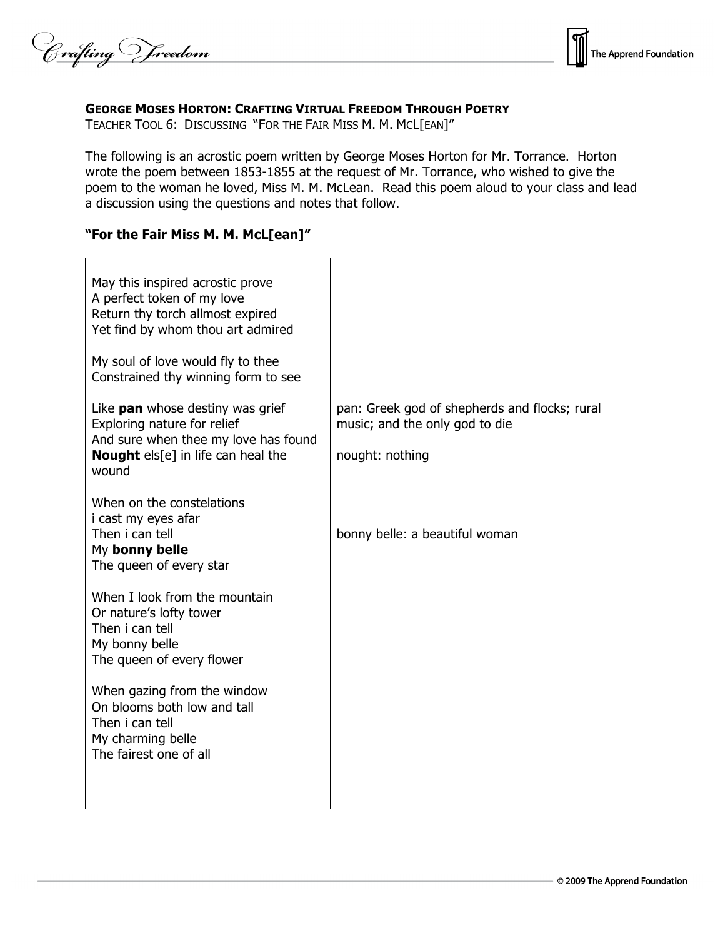Crafting Vreedom



### **GEORGE MOSES HORTON: CRAFTING VIRTUAL FREEDOM THROUGH POETRY**

TEACHER TOOL 6: DISCUSSING "FOR THE FAIR MISS M. M. MCL[EAN]"

The following is an acrostic poem written by George Moses Horton for Mr. Torrance. Horton wrote the poem between 1853-1855 at the request of Mr. Torrance, who wished to give the poem to the woman he loved, Miss M. M. McLean. Read this poem aloud to your class and lead a discussion using the questions and notes that follow.

# **"For the Fair Miss M. M. McL[ean]"**

| May this inspired acrostic prove<br>A perfect token of my love<br>Return thy torch allmost expired<br>Yet find by whom thou art admired                       |                                                                                                    |
|---------------------------------------------------------------------------------------------------------------------------------------------------------------|----------------------------------------------------------------------------------------------------|
| My soul of love would fly to thee<br>Constrained thy winning form to see                                                                                      |                                                                                                    |
| Like <b>pan</b> whose destiny was grief<br>Exploring nature for relief<br>And sure when thee my love has found<br>Nought els[e] in life can heal the<br>wound | pan: Greek god of shepherds and flocks; rural<br>music; and the only god to die<br>nought: nothing |
| When on the constelations<br>i cast my eyes afar<br>Then i can tell<br>My bonny belle<br>The queen of every star                                              | bonny belle: a beautiful woman                                                                     |
| When I look from the mountain<br>Or nature's lofty tower<br>Then i can tell<br>My bonny belle<br>The queen of every flower                                    |                                                                                                    |
| When gazing from the window<br>On blooms both low and tall<br>Then i can tell<br>My charming belle<br>The fairest one of all                                  |                                                                                                    |